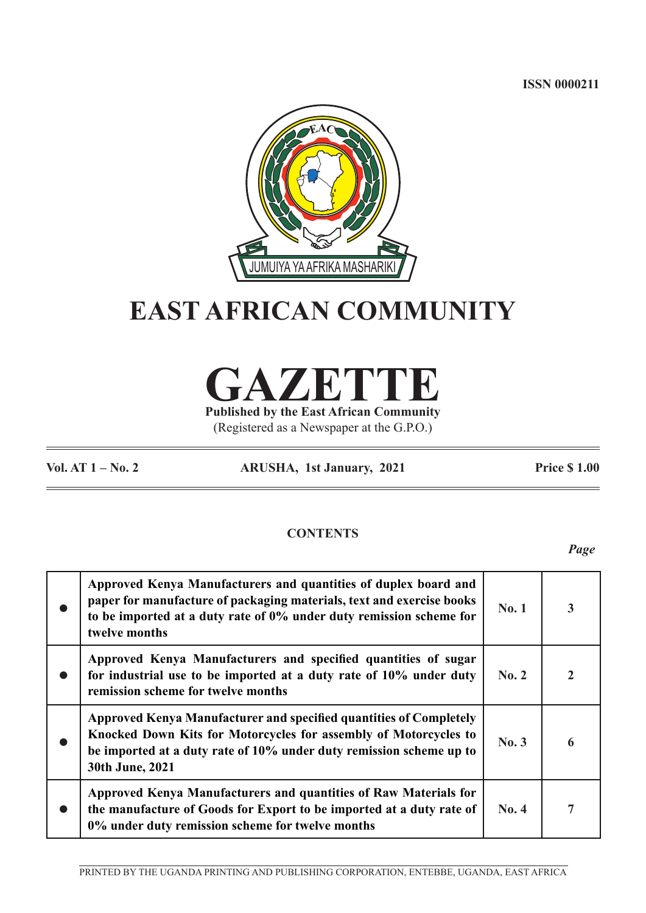**ISSN 0000211**



# **EAST AFRICAN COMMUNITY**

**GAZETTE**

**Published by the East African Community** (Registered as a Newspaper at the G.P.O.)

**Vol. AT 1 – No. 2 ARUSHA, 1st January, 2021 Price \$ 1.00**

# **CONTENTS**

*Page*

|           | Approved Kenya Manufacturers and quantities of duplex board and<br>paper for manufacture of packaging materials, text and exercise books<br>to be imported at a duty rate of 0% under duty remission scheme for<br>twelve months | No.1  | $\overline{\mathbf{3}}$ |
|-----------|----------------------------------------------------------------------------------------------------------------------------------------------------------------------------------------------------------------------------------|-------|-------------------------|
| $\bullet$ | Approved Kenya Manufacturers and specified quantities of sugar<br>for industrial use to be imported at a duty rate of 10% under duty<br>remission scheme for twelve months                                                       | No. 2 | $\overline{2}$          |
|           | Approved Kenya Manufacturer and specified quantities of Completely<br>Knocked Down Kits for Motorcycles for assembly of Motorcycles to<br>be imported at a duty rate of 10% under duty remission scheme up to<br>30th June, 2021 | No.3  | 6                       |
|           | Approved Kenya Manufacturers and quantities of Raw Materials for<br>the manufacture of Goods for Export to be imported at a duty rate of<br>0% under duty remission scheme for twelve months                                     | No. 4 | 7                       |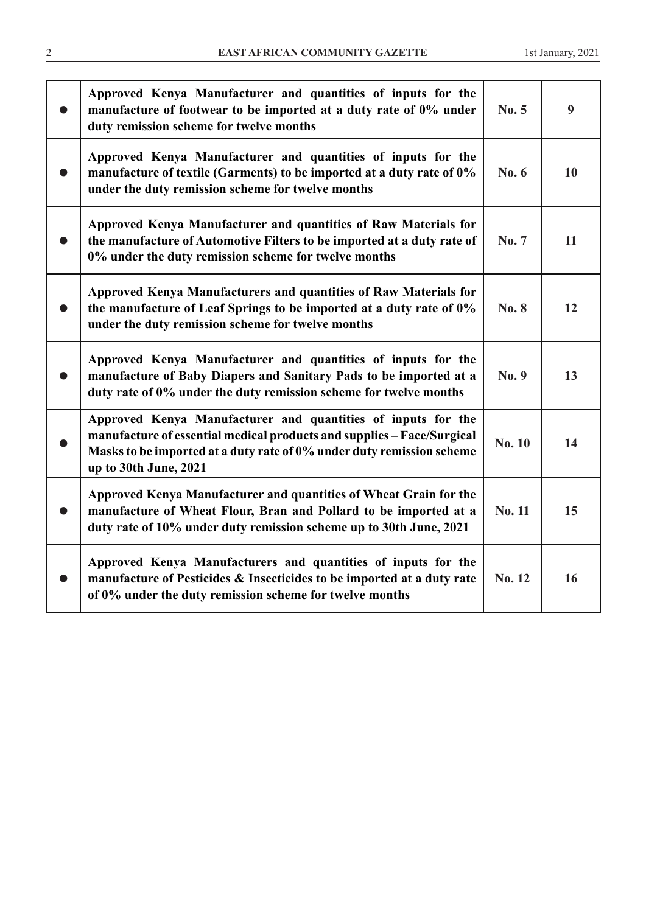| Approved Kenya Manufacturer and quantities of inputs for the<br>manufacture of footwear to be imported at a duty rate of 0% under<br>duty remission scheme for twelve months                                                             | No. 5         | 9  |
|------------------------------------------------------------------------------------------------------------------------------------------------------------------------------------------------------------------------------------------|---------------|----|
| Approved Kenya Manufacturer and quantities of inputs for the<br>manufacture of textile (Garments) to be imported at a duty rate of 0%<br>under the duty remission scheme for twelve months                                               | No. 6         | 10 |
| Approved Kenya Manufacturer and quantities of Raw Materials for<br>the manufacture of Automotive Filters to be imported at a duty rate of<br>0% under the duty remission scheme for twelve months                                        | No. 7         | 11 |
| Approved Kenya Manufacturers and quantities of Raw Materials for<br>the manufacture of Leaf Springs to be imported at a duty rate of 0%<br>under the duty remission scheme for twelve months                                             | <b>No. 8</b>  | 12 |
| Approved Kenya Manufacturer and quantities of inputs for the<br>manufacture of Baby Diapers and Sanitary Pads to be imported at a<br>duty rate of 0% under the duty remission scheme for twelve months                                   | No. 9         | 13 |
| Approved Kenya Manufacturer and quantities of inputs for the<br>manufacture of essential medical products and supplies - Face/Surgical<br>Masks to be imported at a duty rate of 0% under duty remission scheme<br>up to 30th June, 2021 | <b>No. 10</b> | 14 |
| Approved Kenya Manufacturer and quantities of Wheat Grain for the<br>manufacture of Wheat Flour, Bran and Pollard to be imported at a<br>duty rate of 10% under duty remission scheme up to 30th June, 2021                              | <b>No. 11</b> | 15 |
| Approved Kenya Manufacturers and quantities of inputs for the<br>manufacture of Pesticides & Insecticides to be imported at a duty rate<br>of 0% under the duty remission scheme for twelve months                                       | No. 12        | 16 |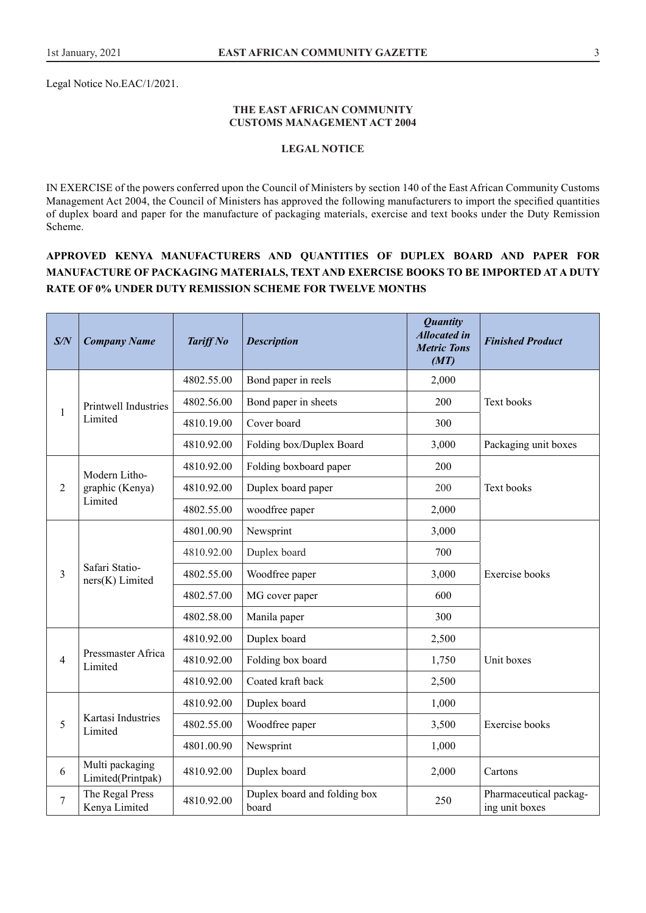Legal Notice No.EAC/1/2021.

#### **THE EAST AFRICAN COMMUNITY CUSTOMS MANAGEMENT ACT 2004**

## **LEGAL NOTICE**

IN EXERCISE of the powers conferred upon the Council of Ministers by section 140 of the East African Community Customs Management Act 2004, the Council of Ministers has approved the following manufacturers to import the specified quantities of duplex board and paper for the manufacture of packaging materials, exercise and text books under the Duty Remission Scheme.

# **APPROVED KENYA MANUFACTURERS AND QUANTITIES OF DUPLEX BOARD AND PAPER FOR MANUFACTURE OF PACKAGING MATERIALS, TEXT AND EXERCISE BOOKS TO BE IMPORTED AT A DUTY RATE OF 0% UNDER DUTY REMISSION SCHEME FOR TWELVE MONTHS**

| S/N            | <b>Company Name</b>                  | <b>Tariff No</b> | <b>Description</b>                    | <b>Quantity</b><br><b>Allocated in</b><br><b>Metric Tons</b><br>(MT) | <b>Finished Product</b>                  |
|----------------|--------------------------------------|------------------|---------------------------------------|----------------------------------------------------------------------|------------------------------------------|
|                |                                      | 4802.55.00       | Bond paper in reels                   | 2,000                                                                |                                          |
| 1              | Printwell Industries                 | 4802.56.00       | Bond paper in sheets                  | 200                                                                  | Text books                               |
|                | Limited                              | 4810.19.00       | Cover board                           | 300                                                                  |                                          |
|                |                                      | 4810.92.00       | Folding box/Duplex Board              | 3,000                                                                | Packaging unit boxes                     |
|                | Modern Litho-                        | 4810.92.00       | Folding boxboard paper                | 200                                                                  |                                          |
| $\overline{2}$ | graphic (Kenya)                      | 4810.92.00       | Duplex board paper                    | 200                                                                  | Text books                               |
|                | Limited                              | 4802.55.00       | woodfree paper                        | 2,000                                                                |                                          |
|                | Safari Statio-<br>ners(K) Limited    | 4801.00.90       | Newsprint                             | 3,000                                                                |                                          |
|                |                                      | 4810.92.00       | Duplex board                          | 700                                                                  |                                          |
| 3              |                                      | 4802.55.00       | Woodfree paper                        | 3,000                                                                | Exercise books                           |
|                |                                      | 4802.57.00       | MG cover paper                        | 600                                                                  |                                          |
|                |                                      | 4802.58.00       | Manila paper                          | 300                                                                  |                                          |
|                |                                      | 4810.92.00       | Duplex board                          | 2,500                                                                |                                          |
| 4              | Pressmaster Africa<br>Limited        | 4810.92.00       | Folding box board                     | 1,750                                                                | Unit boxes                               |
|                |                                      | 4810.92.00       | Coated kraft back                     | 2,500                                                                |                                          |
|                |                                      | 4810.92.00       | Duplex board                          | 1,000                                                                |                                          |
| 5              | Kartasi Industries<br>Limited        | 4802.55.00       | Woodfree paper                        | 3,500                                                                | <b>Exercise</b> books                    |
|                |                                      | 4801.00.90       | Newsprint                             | 1,000                                                                |                                          |
| 6              | Multi packaging<br>Limited(Printpak) | 4810.92.00       | Duplex board                          | 2,000                                                                | Cartons                                  |
| 7              | The Regal Press<br>Kenya Limited     | 4810.92.00       | Duplex board and folding box<br>board | 250                                                                  | Pharmaceutical packag-<br>ing unit boxes |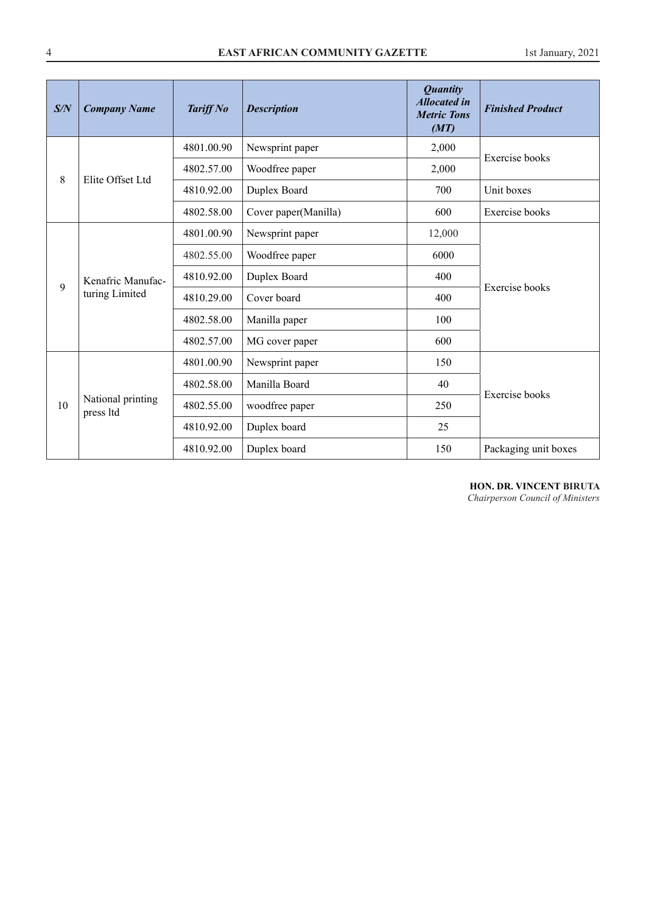| S/N | <b>Company Name</b>                 | <b>Tariff No</b> | <b>Description</b>   | <b>Quantity</b><br><b>Allocated in</b><br><b>Metric Tons</b><br>(MT) | <b>Finished Product</b> |
|-----|-------------------------------------|------------------|----------------------|----------------------------------------------------------------------|-------------------------|
|     |                                     | 4801.00.90       | Newsprint paper      | 2,000                                                                | <b>Exercise</b> books   |
| 8   | Elite Offset Ltd                    | 4802.57.00       | Woodfree paper       | 2,000                                                                |                         |
|     |                                     | 4810.92.00       | Duplex Board         | 700                                                                  | Unit boxes              |
|     |                                     | 4802.58.00       | Cover paper(Manilla) | 600                                                                  | <b>Exercise</b> books   |
|     | Kenafric Manufac-<br>turing Limited | 4801.00.90       | Newsprint paper      | 12,000                                                               |                         |
|     |                                     | 4802.55.00       | Woodfree paper       | 6000                                                                 |                         |
| 9   |                                     | 4810.92.00       | Duplex Board         | 400                                                                  | Exercise books          |
|     |                                     | 4810.29.00       | Cover board          | 400                                                                  |                         |
|     |                                     | 4802.58.00       | Manilla paper        | 100                                                                  |                         |
|     |                                     | 4802.57.00       | MG cover paper       | 600                                                                  |                         |
|     |                                     | 4801.00.90       | Newsprint paper      | 150                                                                  |                         |
|     |                                     | 4802.58.00       | Manilla Board        | 40                                                                   | Exercise books          |
| 10  | National printing<br>press ltd      | 4802.55.00       | woodfree paper       | 250                                                                  |                         |
|     |                                     | 4810.92.00       | Duplex board         | 25                                                                   |                         |
|     |                                     | 4810.92.00       | Duplex board         | 150                                                                  | Packaging unit boxes    |

# **HON. DR. VINCENT BIRUTA**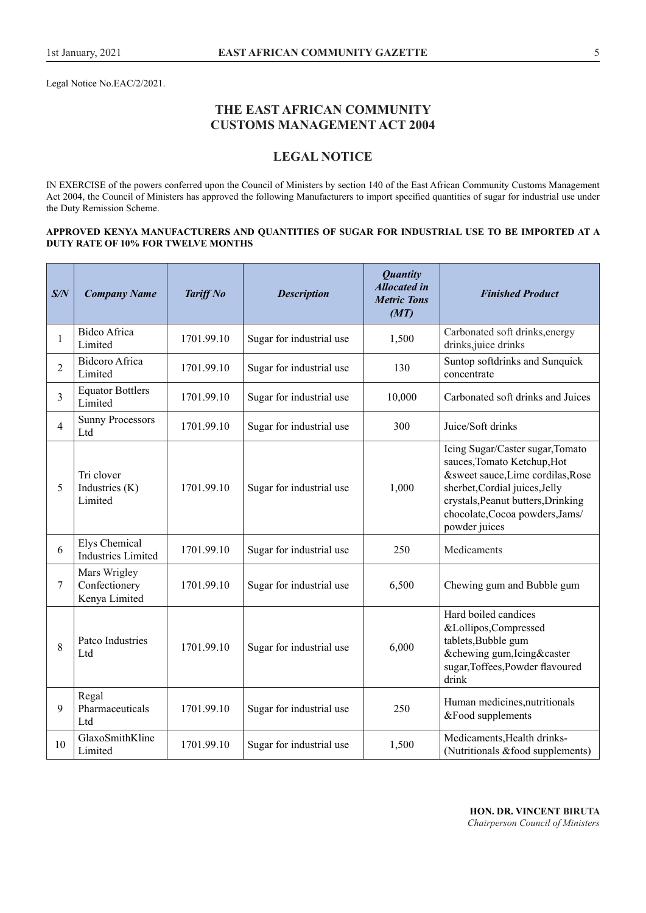Legal Notice No.EAC/2/2021.

# **THE EAST AFRICAN COMMUNITY CUSTOMS MANAGEMENT ACT 2004**

# **LEGAL NOTICE**

IN EXERCISE of the powers conferred upon the Council of Ministers by section 140 of the East African Community Customs Management Act 2004, the Council of Ministers has approved the following Manufacturers to import specified quantities of sugar for industrial use under the Duty Remission Scheme.

#### **APPROVED KENYA MANUFACTURERS AND QUANTITIES OF SUGAR FOR INDUSTRIAL USE TO BE IMPORTED AT A DUTY RATE OF 10% FOR TWELVE MONTHS**

| S/N            | <b>Company Name</b>                            | <b>Tariff No</b> | <b>Description</b>       | <b>Quantity</b><br><b>Allocated in</b><br><b>Metric Tons</b><br>(MT) | <b>Finished Product</b>                                                                                                                                                                                                          |
|----------------|------------------------------------------------|------------------|--------------------------|----------------------------------------------------------------------|----------------------------------------------------------------------------------------------------------------------------------------------------------------------------------------------------------------------------------|
| $\mathbf{1}$   | <b>Bidco Africa</b><br>Limited                 | 1701.99.10       | Sugar for industrial use | 1,500                                                                | Carbonated soft drinks, energy<br>drinks, juice drinks                                                                                                                                                                           |
| $\overline{2}$ | <b>Bidcoro Africa</b><br>Limited               | 1701.99.10       | Sugar for industrial use | 130                                                                  | Suntop softdrinks and Sunquick<br>concentrate                                                                                                                                                                                    |
| 3              | <b>Equator Bottlers</b><br>Limited             | 1701.99.10       | Sugar for industrial use | 10,000                                                               | Carbonated soft drinks and Juices                                                                                                                                                                                                |
| $\overline{4}$ | <b>Sunny Processors</b><br>Ltd                 | 1701.99.10       | Sugar for industrial use | 300                                                                  | Juice/Soft drinks                                                                                                                                                                                                                |
| 5              | Tri clover<br>Industries (K)<br>Limited        | 1701.99.10       | Sugar for industrial use | 1,000                                                                | Icing Sugar/Caster sugar, Tomato<br>sauces, Tomato Ketchup, Hot<br>&sweet sauce, Lime cordilas, Rose<br>sherbet, Cordial juices, Jelly<br>crystals, Peanut butters, Drinking<br>chocolate, Cocoa powders, Jams/<br>powder juices |
| 6              | Elys Chemical<br><b>Industries Limited</b>     | 1701.99.10       | Sugar for industrial use | 250                                                                  | Medicaments                                                                                                                                                                                                                      |
| 7              | Mars Wrigley<br>Confectionery<br>Kenya Limited | 1701.99.10       | Sugar for industrial use | 6,500                                                                | Chewing gum and Bubble gum                                                                                                                                                                                                       |
| 8              | Patco Industries<br>Ltd                        | 1701.99.10       | Sugar for industrial use | 6,000                                                                | Hard boiled candices<br>&Lollipos,Compressed<br>tablets, Bubble gum<br>&chewing gum, Icing&caster<br>sugar, Toffees, Powder flavoured<br>drink                                                                                   |
| 9              | Regal<br>Pharmaceuticals<br>Ltd                | 1701.99.10       | Sugar for industrial use | 250                                                                  | Human medicines, nutritionals<br>&Food supplements                                                                                                                                                                               |
| 10             | GlaxoSmithKline<br>Limited                     | 1701.99.10       | Sugar for industrial use | 1,500                                                                | Medicaments, Health drinks-<br>(Nutritionals & food supplements)                                                                                                                                                                 |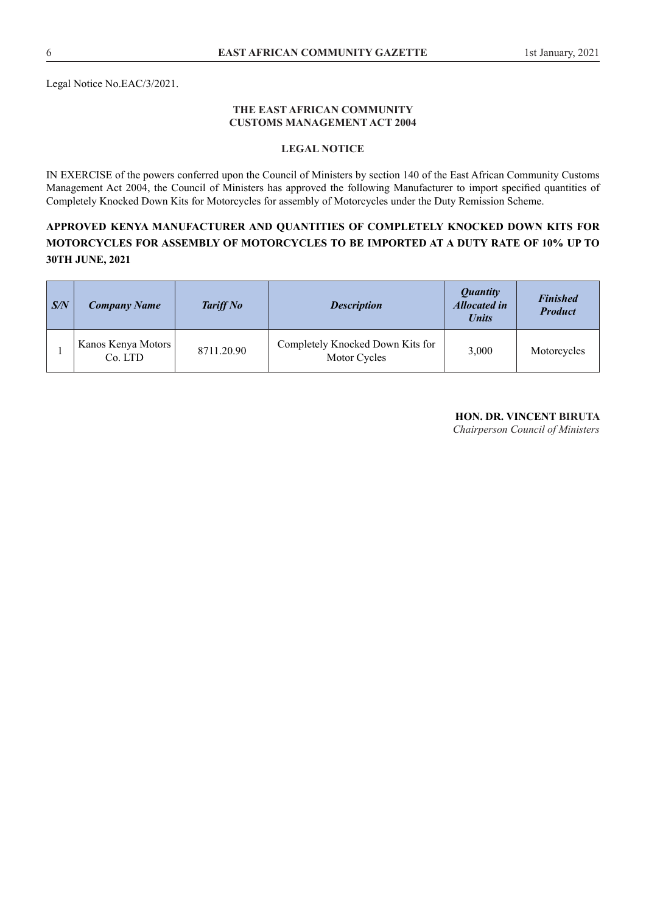Legal Notice No.EAC/3/2021.

#### **THE EAST AFRICAN COMMUNITY CUSTOMS MANAGEMENT ACT 2004**

## **LEGAL NOTICE**

IN EXERCISE of the powers conferred upon the Council of Ministers by section 140 of the East African Community Customs Management Act 2004, the Council of Ministers has approved the following Manufacturer to import specified quantities of Completely Knocked Down Kits for Motorcycles for assembly of Motorcycles under the Duty Remission Scheme.

# **APPROVED KENYA MANUFACTURER AND QUANTITIES OF COMPLETELY KNOCKED DOWN KITS FOR MOTORCYCLES FOR ASSEMBLY OF MOTORCYCLES TO BE IMPORTED AT A DUTY RATE OF 10% UP TO 30TH JUNE, 2021**

| $\mid S/N$ | <b>Company Name</b>           | <b>Tariff No</b> | <b>Description</b>                               | <i><b>Quantity</b></i><br><b>Allocated in</b><br><b>Units</b> | <b>Finished</b><br><b>Product</b> |
|------------|-------------------------------|------------------|--------------------------------------------------|---------------------------------------------------------------|-----------------------------------|
|            | Kanos Kenya Motors<br>Co. LTD | 8711.20.90       | Completely Knocked Down Kits for<br>Motor Cycles | 3,000                                                         | Motorcycles                       |

# **HON. DR. VINCENT BIRUTA**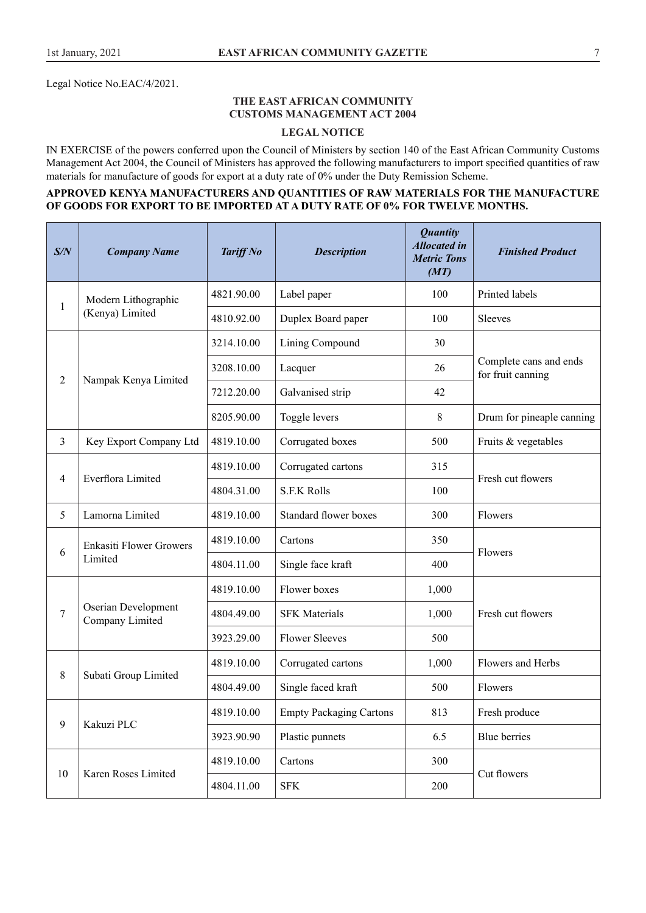Legal Notice No.EAC/4/2021.

## **THE EAST AFRICAN COMMUNITY CUSTOMS MANAGEMENT ACT 2004**

## **LEGAL NOTICE**

IN EXERCISE of the powers conferred upon the Council of Ministers by section 140 of the East African Community Customs Management Act 2004, the Council of Ministers has approved the following manufacturers to import specified quantities of raw materials for manufacture of goods for export at a duty rate of 0% under the Duty Remission Scheme.

## **APPROVED KENYA MANUFACTURERS AND QUANTITIES OF RAW MATERIALS FOR THE MANUFACTURE OF GOODS FOR EXPORT TO BE IMPORTED AT A DUTY RATE OF 0% FOR TWELVE MONTHS.**

| S/N            | <b>Company Name</b>                    | <b>Tariff No</b> | <b>Description</b>             | <b>Quantity</b><br><b>Allocated in</b><br><b>Metric Tons</b><br>(MT) | <b>Finished Product</b>                     |
|----------------|----------------------------------------|------------------|--------------------------------|----------------------------------------------------------------------|---------------------------------------------|
| 1              | Modern Lithographic                    | 4821.90.00       | Label paper                    | 100                                                                  | Printed labels                              |
|                | (Kenya) Limited                        | 4810.92.00       | Duplex Board paper             | 100                                                                  | Sleeves                                     |
|                |                                        | 3214.10.00       | Lining Compound                | 30                                                                   |                                             |
| 2              | Nampak Kenya Limited                   | 3208.10.00       | Lacquer                        | 26                                                                   | Complete cans and ends<br>for fruit canning |
|                |                                        | 7212.20.00       | Galvanised strip               | 42                                                                   |                                             |
|                |                                        | 8205.90.00       | Toggle levers                  | 8                                                                    | Drum for pineaple canning                   |
| $\mathfrak{Z}$ | Key Export Company Ltd                 | 4819.10.00       | Corrugated boxes               | 500                                                                  | Fruits & vegetables                         |
|                | Everflora Limited                      | 4819.10.00       | Corrugated cartons             | 315                                                                  | Fresh cut flowers                           |
| $\overline{4}$ |                                        | 4804.31.00       | <b>S.F.K Rolls</b>             | 100                                                                  |                                             |
| 5              | Lamorna Limited                        | 4819.10.00       | Standard flower boxes          | 300                                                                  | Flowers                                     |
|                | <b>Enkasiti Flower Growers</b>         | 4819.10.00       | Cartons                        | 350                                                                  |                                             |
| 6              | Limited                                | 4804.11.00       | Single face kraft              | 400                                                                  | Flowers                                     |
|                |                                        | 4819.10.00       | Flower boxes                   | 1,000                                                                |                                             |
| 7              | Oserian Development<br>Company Limited | 4804.49.00       | <b>SFK</b> Materials           | 1,000                                                                | Fresh cut flowers                           |
|                |                                        | 3923.29.00       | <b>Flower Sleeves</b>          | 500                                                                  |                                             |
|                |                                        | 4819.10.00       | Corrugated cartons             | 1,000                                                                | Flowers and Herbs                           |
| 8              | Subati Group Limited                   | 4804.49.00       | Single faced kraft             | 500                                                                  | Flowers                                     |
|                |                                        | 4819.10.00       | <b>Empty Packaging Cartons</b> | 813                                                                  | Fresh produce                               |
| 9              | Kakuzi PLC                             | 3923.90.90       | Plastic punnets                | 6.5                                                                  | Blue berries                                |
|                |                                        | 4819.10.00       | Cartons                        | 300                                                                  |                                             |
| 10             | Karen Roses Limited                    | 4804.11.00       | <b>SFK</b>                     | 200                                                                  | Cut flowers                                 |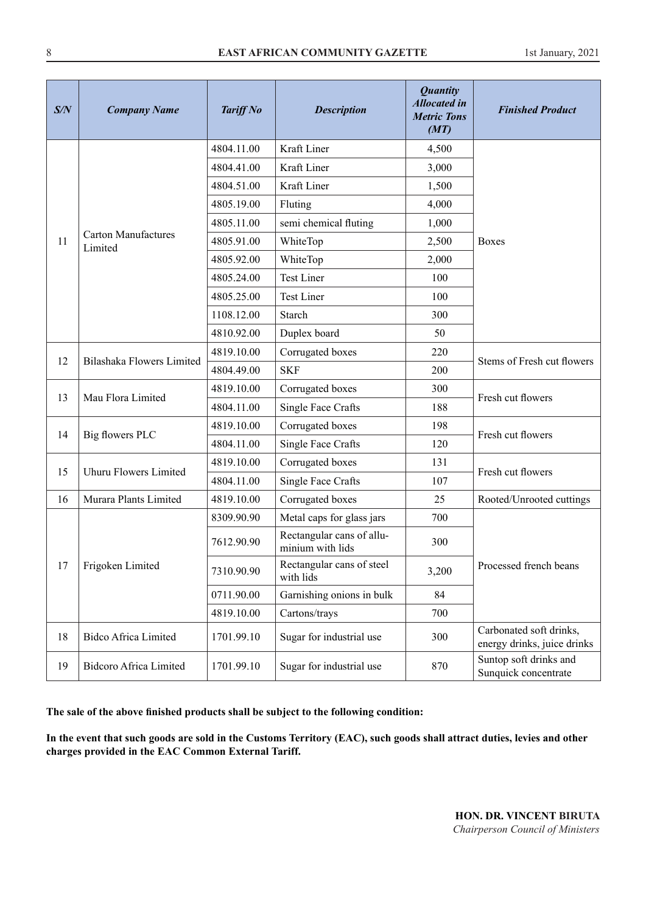| S/N | <b>Company Name</b>                   | <b>Tariff No</b> | <b>Description</b>                            | <b>Quantity</b><br><b>Allocated in</b><br><b>Metric Tons</b><br>(MT) | <b>Finished Product</b>                                |
|-----|---------------------------------------|------------------|-----------------------------------------------|----------------------------------------------------------------------|--------------------------------------------------------|
|     |                                       | 4804.11.00       | Kraft Liner                                   | 4,500                                                                |                                                        |
|     |                                       | 4804.41.00       | Kraft Liner                                   | 3,000                                                                |                                                        |
|     |                                       | 4804.51.00       | Kraft Liner                                   | 1,500                                                                |                                                        |
|     |                                       | 4805.19.00       | Fluting                                       | 4,000                                                                |                                                        |
|     |                                       | 4805.11.00       | semi chemical fluting                         | 1,000                                                                |                                                        |
| 11  | <b>Carton Manufactures</b><br>Limited | 4805.91.00       | WhiteTop                                      | 2,500                                                                | <b>Boxes</b>                                           |
|     |                                       | 4805.92.00       | WhiteTop                                      | 2,000                                                                |                                                        |
|     |                                       | 4805.24.00       | <b>Test Liner</b>                             | 100                                                                  |                                                        |
|     |                                       | 4805.25.00       | Test Liner                                    | 100                                                                  |                                                        |
|     |                                       | 1108.12.00       | Starch                                        | 300                                                                  |                                                        |
|     |                                       | 4810.92.00       | Duplex board                                  | 50                                                                   |                                                        |
|     | 12<br>Bilashaka Flowers Limited       | 4819.10.00       | Corrugated boxes                              | 220                                                                  | Stems of Fresh cut flowers                             |
|     |                                       | 4804.49.00       | <b>SKF</b>                                    | 200                                                                  |                                                        |
| 13  | Mau Flora Limited                     | 4819.10.00       | Corrugated boxes                              | 300                                                                  | Fresh cut flowers                                      |
|     |                                       | 4804.11.00       | Single Face Crafts                            | 188                                                                  |                                                        |
| 14  |                                       | 4819.10.00       | Corrugated boxes                              | 198                                                                  | Fresh cut flowers                                      |
|     | Big flowers PLC                       | 4804.11.00       | Single Face Crafts                            | 120                                                                  |                                                        |
| 15  | Uhuru Flowers Limited                 | 4819.10.00       | Corrugated boxes                              | 131                                                                  | Fresh cut flowers                                      |
|     |                                       | 4804.11.00       | Single Face Crafts                            | 107                                                                  |                                                        |
| 16  | Murara Plants Limited                 | 4819.10.00       | Corrugated boxes                              | 25                                                                   | Rooted/Unrooted cuttings                               |
|     |                                       | 8309.90.90       | Metal caps for glass jars                     | 700                                                                  |                                                        |
|     |                                       | 7612.90.90       | Rectangular cans of allu-<br>minium with lids | 300                                                                  |                                                        |
| 17  | Frigoken Limited                      | 7310.90.90       | Rectangular cans of steel<br>with lids        | 3,200                                                                | Processed french beans                                 |
|     |                                       | 0711.90.00       | Garnishing onions in bulk                     | 84                                                                   |                                                        |
|     |                                       | 4819.10.00       | Cartons/trays                                 | 700                                                                  |                                                        |
| 18  | <b>Bidco Africa Limited</b>           | 1701.99.10       | Sugar for industrial use                      | 300                                                                  | Carbonated soft drinks,<br>energy drinks, juice drinks |
| 19  | <b>Bidcoro Africa Limited</b>         | 1701.99.10       | Sugar for industrial use                      | 870                                                                  | Suntop soft drinks and<br>Sunquick concentrate         |

**The sale of the above finished products shall be subject to the following condition:**

**In the event that such goods are sold in the Customs Territory (EAC), such goods shall attract duties, levies and other charges provided in the EAC Common External Tariff.**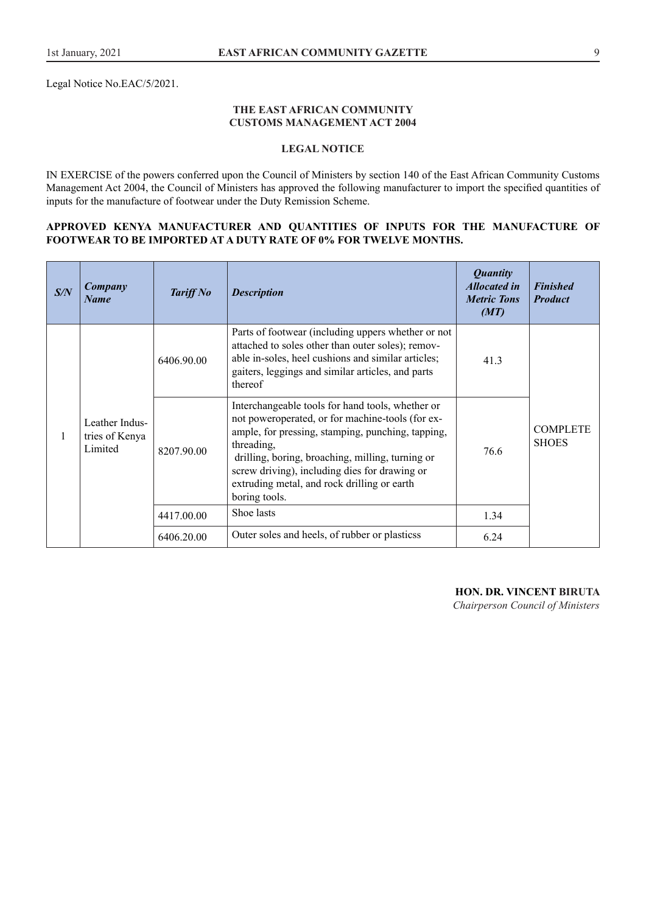Legal Notice No.EAC/5/2021.

#### **THE EAST AFRICAN COMMUNITY CUSTOMS MANAGEMENT ACT 2004**

## **LEGAL NOTICE**

IN EXERCISE of the powers conferred upon the Council of Ministers by section 140 of the East African Community Customs Management Act 2004, the Council of Ministers has approved the following manufacturer to import the specified quantities of inputs for the manufacture of footwear under the Duty Remission Scheme.

#### **APPROVED KENYA MANUFACTURER AND QUANTITIES OF INPUTS FOR THE MANUFACTURE OF FOOTWEAR TO BE IMPORTED AT A DUTY RATE OF 0% FOR TWELVE MONTHS.**

| S/N | Company<br><b>Name</b>                      | <b>Tariff No</b> | <b>Description</b>                                                                                                                                                                                                                                                                                                                           | <b>Quantity</b><br><b>Allocated in</b><br><b>Metric Tons</b><br>(MT) | <b>Finished</b><br><b>Product</b> |  |
|-----|---------------------------------------------|------------------|----------------------------------------------------------------------------------------------------------------------------------------------------------------------------------------------------------------------------------------------------------------------------------------------------------------------------------------------|----------------------------------------------------------------------|-----------------------------------|--|
|     |                                             | 6406.90.00       | Parts of footwear (including uppers whether or not<br>attached to soles other than outer soles); remov-<br>able in-soles, heel cushions and similar articles;<br>gaiters, leggings and similar articles, and parts<br>thereof                                                                                                                | 41.3                                                                 |                                   |  |
| 1   | Leather Indus-<br>tries of Kenya<br>Limited | 8207.90.00       | Interchangeable tools for hand tools, whether or<br>not poweroperated, or for machine-tools (for ex-<br>ample, for pressing, stamping, punching, tapping,<br>threading,<br>drilling, boring, broaching, milling, turning or<br>screw driving), including dies for drawing or<br>extruding metal, and rock drilling or earth<br>boring tools. | 76.6                                                                 | <b>COMPLETE</b><br><b>SHOES</b>   |  |
|     |                                             | 4417.00.00       | Shoe lasts                                                                                                                                                                                                                                                                                                                                   | 1.34                                                                 |                                   |  |
|     |                                             | 6406.20.00       | Outer soles and heels, of rubber or plasticss                                                                                                                                                                                                                                                                                                | 6.24                                                                 |                                   |  |

**HON. DR. VINCENT BIRUTA**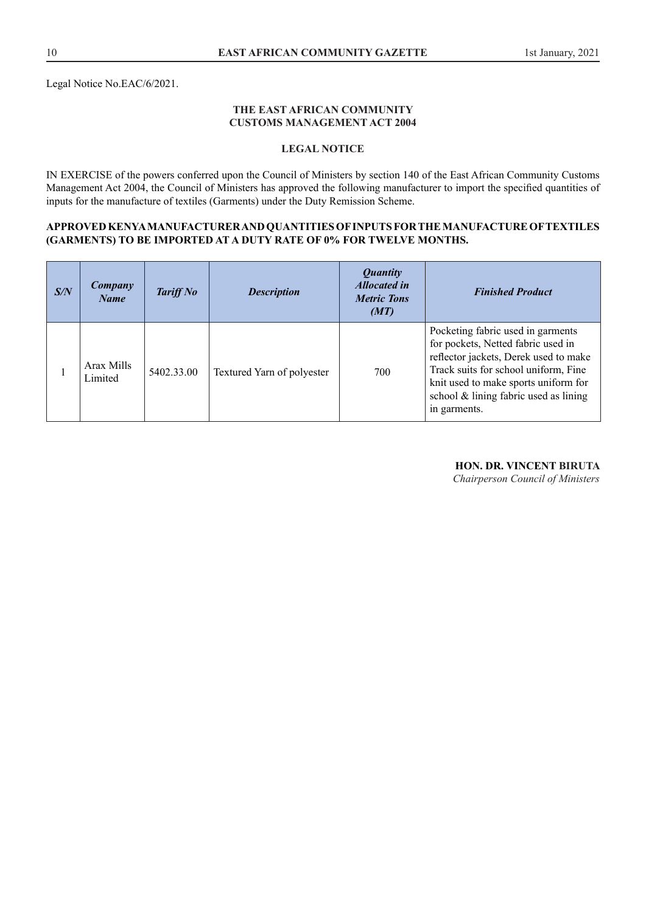Legal Notice No.EAC/6/2021.

#### **THE EAST AFRICAN COMMUNITY CUSTOMS MANAGEMENT ACT 2004**

# **LEGAL NOTICE**

IN EXERCISE of the powers conferred upon the Council of Ministers by section 140 of the East African Community Customs Management Act 2004, the Council of Ministers has approved the following manufacturer to import the specified quantities of inputs for the manufacture of textiles (Garments) under the Duty Remission Scheme.

#### **APPROVED KENYA MANUFACTURER AND QUANTITIES OF INPUTS FOR THE MANUFACTURE OF TEXTILES (GARMENTS) TO BE IMPORTED AT A DUTY RATE OF 0% FOR TWELVE MONTHS.**

| S/N | Company<br><b>Name</b> | <b>Tariff No</b> | <b>Description</b>         | <i><b>Quantity</b></i><br><b>Allocated in</b><br><b>Metric Tons</b><br>(MT) | <b>Finished Product</b>                                                                                                                                                                                                                                   |
|-----|------------------------|------------------|----------------------------|-----------------------------------------------------------------------------|-----------------------------------------------------------------------------------------------------------------------------------------------------------------------------------------------------------------------------------------------------------|
|     | Arax Mills<br>Limited  | 5402.33.00       | Textured Yarn of polyester | 700                                                                         | Pocketing fabric used in garments<br>for pockets, Netted fabric used in<br>reflector jackets, Derek used to make<br>Track suits for school uniform, Fine<br>knit used to make sports uniform for<br>school & lining fabric used as lining<br>in garments. |

#### **HON. DR. VINCENT BIRUTA**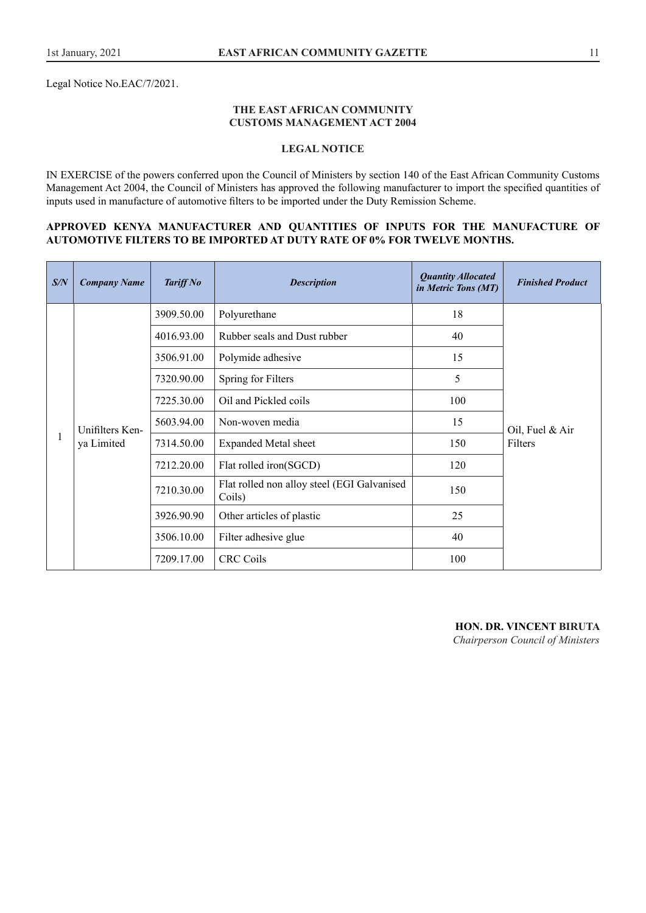Legal Notice No.EAC/7/2021.

#### **THE EAST AFRICAN COMMUNITY CUSTOMS MANAGEMENT ACT 2004**

## **LEGAL NOTICE**

IN EXERCISE of the powers conferred upon the Council of Ministers by section 140 of the East African Community Customs Management Act 2004, the Council of Ministers has approved the following manufacturer to import the specified quantities of inputs used in manufacture of automotive filters to be imported under the Duty Remission Scheme.

#### **APPROVED KENYA MANUFACTURER AND QUANTITIES OF INPUTS FOR THE MANUFACTURE OF AUTOMOTIVE FILTERS TO BE IMPORTED AT DUTY RATE OF 0% FOR TWELVE MONTHS.**

| S/N          | <b>Company Name</b> | <b>Tariff No</b> | <b>Description</b>                                    | <b>Quantity Allocated</b><br>in Metric Tons (MT) | <b>Finished Product</b>    |
|--------------|---------------------|------------------|-------------------------------------------------------|--------------------------------------------------|----------------------------|
|              |                     | 3909.50.00       | Polyurethane                                          | 18                                               |                            |
|              |                     | 4016.93.00       | Rubber seals and Dust rubber                          | 40                                               |                            |
|              |                     | 3506.91.00       | Polymide adhesive                                     | 15                                               | Oil, Fuel & Air<br>Filters |
|              | Unifilters Ken-     | 7320.90.00       | Spring for Filters                                    | 5                                                |                            |
|              |                     | 7225.30.00       | Oil and Pickled coils                                 | 100                                              |                            |
|              |                     | 5603.94.00       | Non-woven media                                       | 15                                               |                            |
| $\mathbf{1}$ | ya Limited          | 7314.50.00       | <b>Expanded Metal sheet</b>                           | 150                                              |                            |
|              |                     | 7212.20.00       | Flat rolled iron(SGCD)                                | 120                                              |                            |
|              |                     | 7210.30.00       | Flat rolled non alloy steel (EGI Galvanised<br>Coils) | 150                                              |                            |
|              |                     | 3926.90.90       | Other articles of plastic                             | 25                                               |                            |
|              |                     | 3506.10.00       | Filter adhesive glue                                  | 40                                               |                            |
|              |                     | 7209.17.00       | <b>CRC Coils</b>                                      | 100                                              |                            |

**HON. DR. VINCENT BIRUTA** *Chairperson Council of Ministers*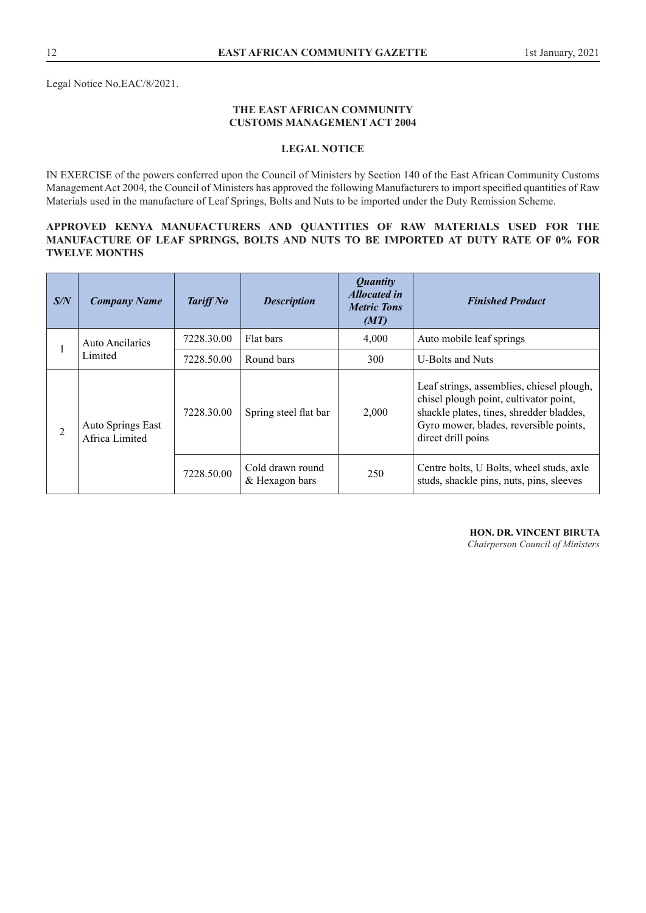Legal Notice No.EAC/8/2021.

### **THE EAST AFRICAN COMMUNITY CUSTOMS MANAGEMENT ACT 2004**

#### **LEGAL NOTICE**

IN EXERCISE of the powers conferred upon the Council of Ministers by Section 140 of the East African Community Customs Management Act 2004, the Council of Ministers has approved the following Manufacturers to import specified quantities of Raw Materials used in the manufacture of Leaf Springs, Bolts and Nuts to be imported under the Duty Remission Scheme.

#### **APPROVED KENYA MANUFACTURERS AND QUANTITIES OF RAW MATERIALS USED FOR THE MANUFACTURE OF LEAF SPRINGS, BOLTS AND NUTS TO BE IMPORTED AT DUTY RATE OF 0% FOR TWELVE MONTHS**

| S/N | <b>Company Name</b>                 | <b>Tariff No</b> | <b>Description</b>                 | <i>Quantity</i><br><b>Allocated in</b><br><b>Metric Tons</b><br>(MT) | <b>Finished Product</b>                                                                                                                                                                         |
|-----|-------------------------------------|------------------|------------------------------------|----------------------------------------------------------------------|-------------------------------------------------------------------------------------------------------------------------------------------------------------------------------------------------|
|     | <b>Auto Ancilaries</b><br>Limited   | 7228.30.00       | Flat bars                          | 4,000                                                                | Auto mobile leaf springs                                                                                                                                                                        |
|     |                                     | 7228.50.00       | Round bars                         | 300                                                                  | U-Bolts and Nuts                                                                                                                                                                                |
| 2   | Auto Springs East<br>Africa Limited | 7228.30.00       | Spring steel flat bar              | 2,000                                                                | Leaf strings, assemblies, chiesel plough,<br>chisel plough point, cultivator point,<br>shackle plates, tines, shredder bladdes,<br>Gyro mower, blades, reversible points,<br>direct drill poins |
|     |                                     | 7228.50.00       | Cold drawn round<br>& Hexagon bars | 250                                                                  | Centre bolts, U Bolts, wheel studs, axle<br>studs, shackle pins, nuts, pins, sleeves                                                                                                            |

**HON. DR. VINCENT BIRUTA**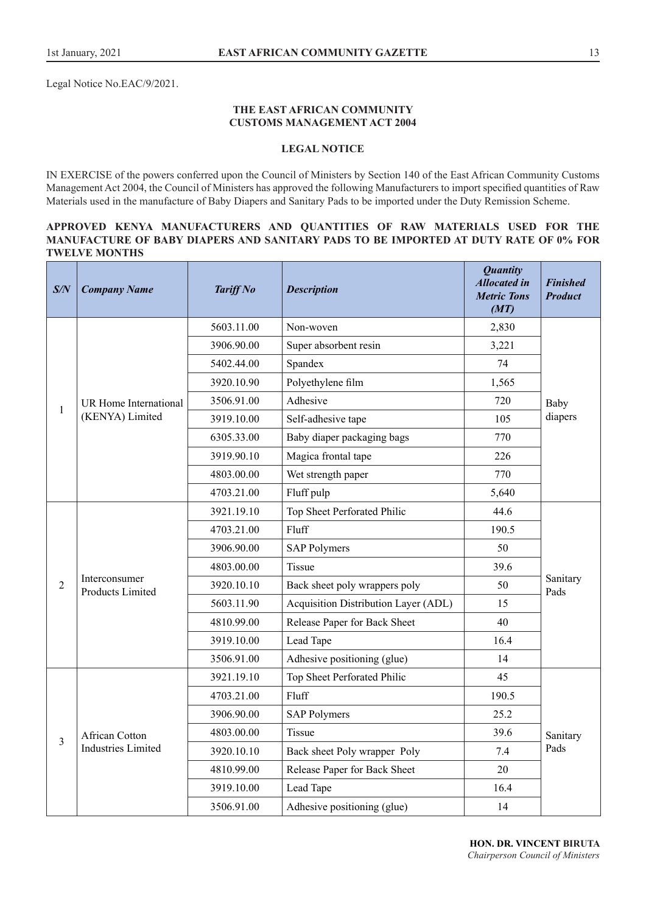Legal Notice No.EAC/9/2021.

#### **THE EAST AFRICAN COMMUNITY CUSTOMS MANAGEMENT ACT 2004**

#### **LEGAL NOTICE**

IN EXERCISE of the powers conferred upon the Council of Ministers by Section 140 of the East African Community Customs Management Act 2004, the Council of Ministers has approved the following Manufacturers to import specified quantities of Raw Materials used in the manufacture of Baby Diapers and Sanitary Pads to be imported under the Duty Remission Scheme.

#### **APPROVED KENYA MANUFACTURERS AND QUANTITIES OF RAW MATERIALS USED FOR THE MANUFACTURE OF BABY DIAPERS AND SANITARY PADS TO BE IMPORTED AT DUTY RATE OF 0% FOR TWELVE MONTHS**

| S/N            | <b>Company Name</b>                         | <b>Tariff No</b> | <b>Description</b>                                  | <b>Quantity</b><br><b>Allocated in</b><br><b>Metric Tons</b><br>(MT) | <b>Finished</b><br><b>Product</b> |  |
|----------------|---------------------------------------------|------------------|-----------------------------------------------------|----------------------------------------------------------------------|-----------------------------------|--|
| 1              | UR Home International<br>(KENYA) Limited    | 5603.11.00       | Non-woven                                           | 2,830                                                                | 74                                |  |
|                |                                             | 3906.90.00       | Super absorbent resin                               | 3,221                                                                |                                   |  |
|                |                                             | 5402.44.00       | Spandex<br>Polyethylene film<br>3920.10.90<br>1,565 |                                                                      |                                   |  |
|                |                                             |                  |                                                     |                                                                      |                                   |  |
|                |                                             | 3506.91.00       | Adhesive                                            | 720                                                                  | Baby                              |  |
|                |                                             | 3919.10.00       | Self-adhesive tape                                  | 105                                                                  |                                   |  |
|                |                                             | 6305.33.00       | Baby diaper packaging bags                          | 770                                                                  |                                   |  |
|                |                                             | 3919.90.10       | Magica frontal tape                                 | 226                                                                  |                                   |  |
|                |                                             | 4803.00.00       | Wet strength paper                                  | 770                                                                  |                                   |  |
|                |                                             | 4703.21.00       | Fluff pulp                                          | 5,640                                                                |                                   |  |
|                | Interconsumer<br>Products Limited           | 3921.19.10       | Top Sheet Perforated Philic                         | 44.6                                                                 |                                   |  |
|                |                                             | 4703.21.00       | Fluff                                               | 190.5                                                                |                                   |  |
|                |                                             | 3906.90.00       | 50<br><b>SAP Polymers</b><br>Tissue<br>39.6         |                                                                      |                                   |  |
|                |                                             | 4803.00.00       |                                                     |                                                                      |                                   |  |
| $\overline{2}$ |                                             | 3920.10.10       | Back sheet poly wrappers poly                       | 50                                                                   | Sanitary<br>Pads                  |  |
|                |                                             | 5603.11.90       | Acquisition Distribution Layer (ADL)                | 15                                                                   |                                   |  |
|                |                                             | 4810.99.00       | Release Paper for Back Sheet                        | 40                                                                   |                                   |  |
|                |                                             | 3919.10.00       | Lead Tape                                           | 16.4                                                                 |                                   |  |
|                |                                             | 3506.91.00       | Adhesive positioning (glue)                         | 14                                                                   |                                   |  |
| 3              | African Cotton<br><b>Industries Limited</b> | 3921.19.10       | Top Sheet Perforated Philic                         | 45                                                                   |                                   |  |
|                |                                             | 4703.21.00       | Fluff                                               | 190.5                                                                |                                   |  |
|                |                                             | 3906.90.00       | <b>SAP Polymers</b>                                 | 25.2                                                                 |                                   |  |
|                |                                             | 4803.00.00       | Tissue<br>39.6                                      |                                                                      | Sanitary                          |  |
|                |                                             | 3920.10.10       | Back sheet Poly wrapper Poly                        | 7.4                                                                  | Pads                              |  |
|                |                                             | 4810.99.00       | Release Paper for Back Sheet                        | 20                                                                   |                                   |  |
|                |                                             | 3919.10.00       | Lead Tape                                           | 16.4                                                                 |                                   |  |
|                |                                             | 3506.91.00       | Adhesive positioning (glue)                         | 14                                                                   |                                   |  |

**HON. DR. VINCENT BIRUTA** *Chairperson Council of Ministers*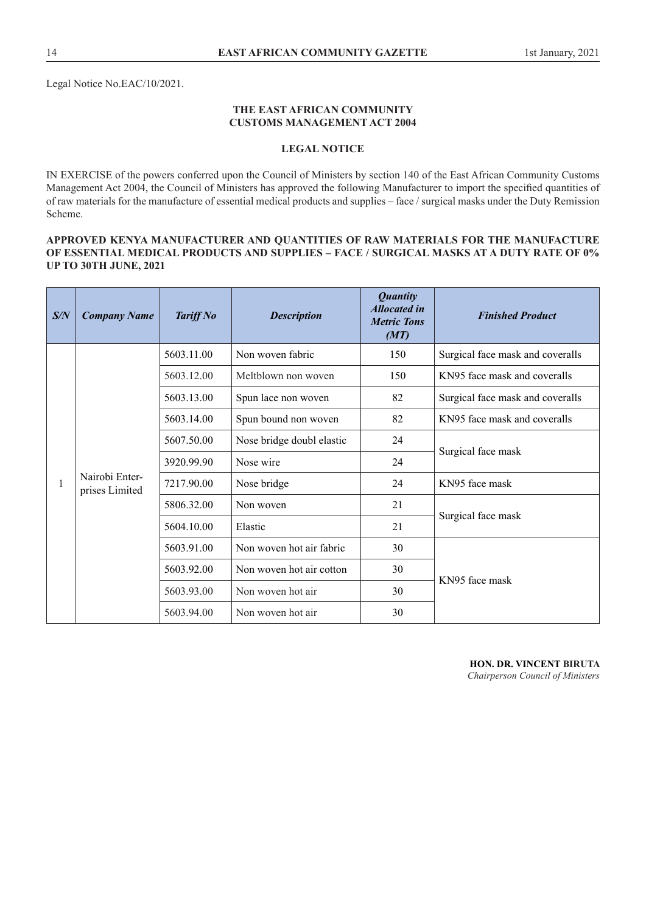## **THE EAST AFRICAN COMMUNITY CUSTOMS MANAGEMENT ACT 2004**

## **LEGAL NOTICE**

IN EXERCISE of the powers conferred upon the Council of Ministers by section 140 of the East African Community Customs Management Act 2004, the Council of Ministers has approved the following Manufacturer to import the specified quantities of of raw materials for the manufacture of essential medical products and supplies – face / surgical masks under the Duty Remission Scheme.

#### **APPROVED KENYA MANUFACTURER AND QUANTITIES OF RAW MATERIALS FOR THE MANUFACTURE OF ESSENTIAL MEDICAL PRODUCTS AND SUPPLIES – FACE / SURGICAL MASKS AT A DUTY RATE OF 0% UP TO 30TH JUNE, 2021**

| S/N | <b>Company Name</b>              | <b>Tariff No</b> | <b>Description</b>        | <b>Quantity</b><br><b>Allocated in</b><br><b>Metric Tons</b><br>(MT) | <b>Finished Product</b>          |  |
|-----|----------------------------------|------------------|---------------------------|----------------------------------------------------------------------|----------------------------------|--|
| 1   | Nairobi Enter-<br>prises Limited | 5603.11.00       | Non woven fabric          | 150                                                                  | Surgical face mask and coveralls |  |
|     |                                  | 5603.12.00       | Meltblown non woven       | 150                                                                  | KN95 face mask and coveralls     |  |
|     |                                  | 5603.13.00       | Spun lace non woven       | 82                                                                   | Surgical face mask and coveralls |  |
|     |                                  | 5603.14.00       | Spun bound non woven      | 82                                                                   | KN95 face mask and coveralls     |  |
|     |                                  | 5607.50.00       | Nose bridge doubl elastic | 24                                                                   | Surgical face mask               |  |
|     |                                  | 3920.99.90       | Nose wire                 | 24                                                                   |                                  |  |
|     |                                  | 7217.90.00       | Nose bridge               | 24                                                                   | KN95 face mask                   |  |
|     |                                  | 5806.32.00       | Non woven                 | 21                                                                   |                                  |  |
|     |                                  | 5604.10.00       | Elastic                   | 21                                                                   | Surgical face mask               |  |
|     |                                  | 5603.91.00       | Non woven hot air fabric  | 30                                                                   |                                  |  |
|     |                                  | 5603.92.00       | Non woven hot air cotton  | 30                                                                   | KN95 face mask                   |  |
|     |                                  | 5603.93.00       | Non woven hot air         | 30                                                                   |                                  |  |
|     |                                  | 5603.94.00       | Non woven hot air         | 30                                                                   |                                  |  |

**HON. DR. VINCENT BIRUTA**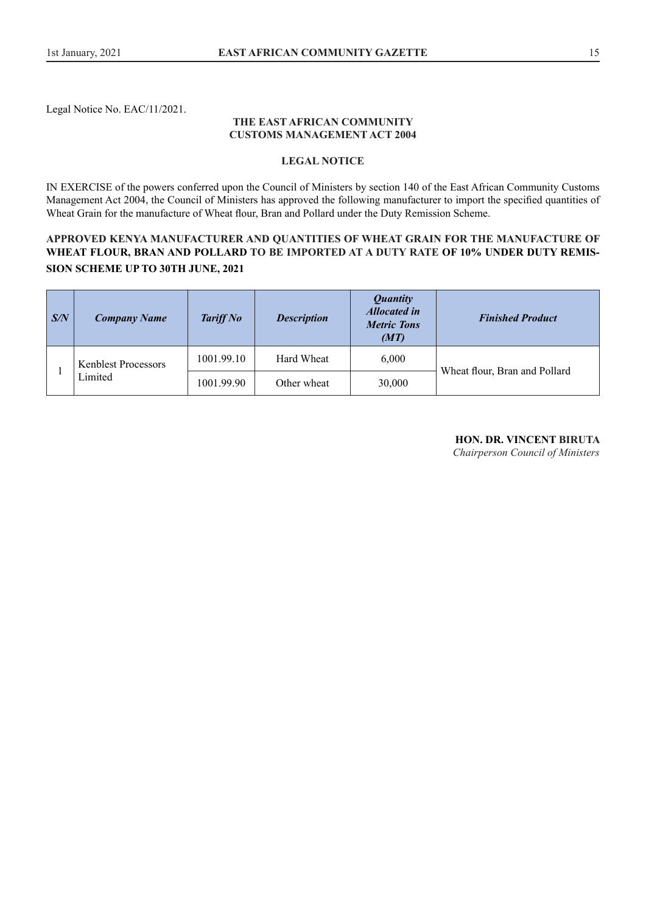Legal Notice No. EAC/11/2021.

#### **THE EAST AFRICAN COMMUNITY CUSTOMS MANAGEMENT ACT 2004**

#### **LEGAL NOTICE**

IN EXERCISE of the powers conferred upon the Council of Ministers by section 140 of the East African Community Customs Management Act 2004, the Council of Ministers has approved the following manufacturer to import the specified quantities of Wheat Grain for the manufacture of Wheat flour, Bran and Pollard under the Duty Remission Scheme.

# **APPROVED KENYA MANUFACTURER AND QUANTITIES OF WHEAT GRAIN FOR THE MANUFACTURE OF WHEAT FLOUR, BRAN AND POLLARD TO BE IMPORTED AT A DUTY RATE OF 10% UNDER DUTY REMIS-SION SCHEME UP TO 30TH JUNE, 2021**

| $\mathbf{S/N}$ | <b>Company Name</b>                   | <b>Tariff No</b> | <b>Description</b> | <i><b>Quantity</b></i><br><b>Allocated in</b><br><b>Metric Tons</b><br>(MT) | <b>Finished Product</b>       |
|----------------|---------------------------------------|------------------|--------------------|-----------------------------------------------------------------------------|-------------------------------|
|                | <b>Kenblest Processors</b><br>Limited | 1001.99.10       | Hard Wheat         | 6.000                                                                       | Wheat flour, Bran and Pollard |
|                |                                       | 1001.99.90       | Other wheat        | 30,000                                                                      |                               |

# **HON. DR. VINCENT BIRUTA**